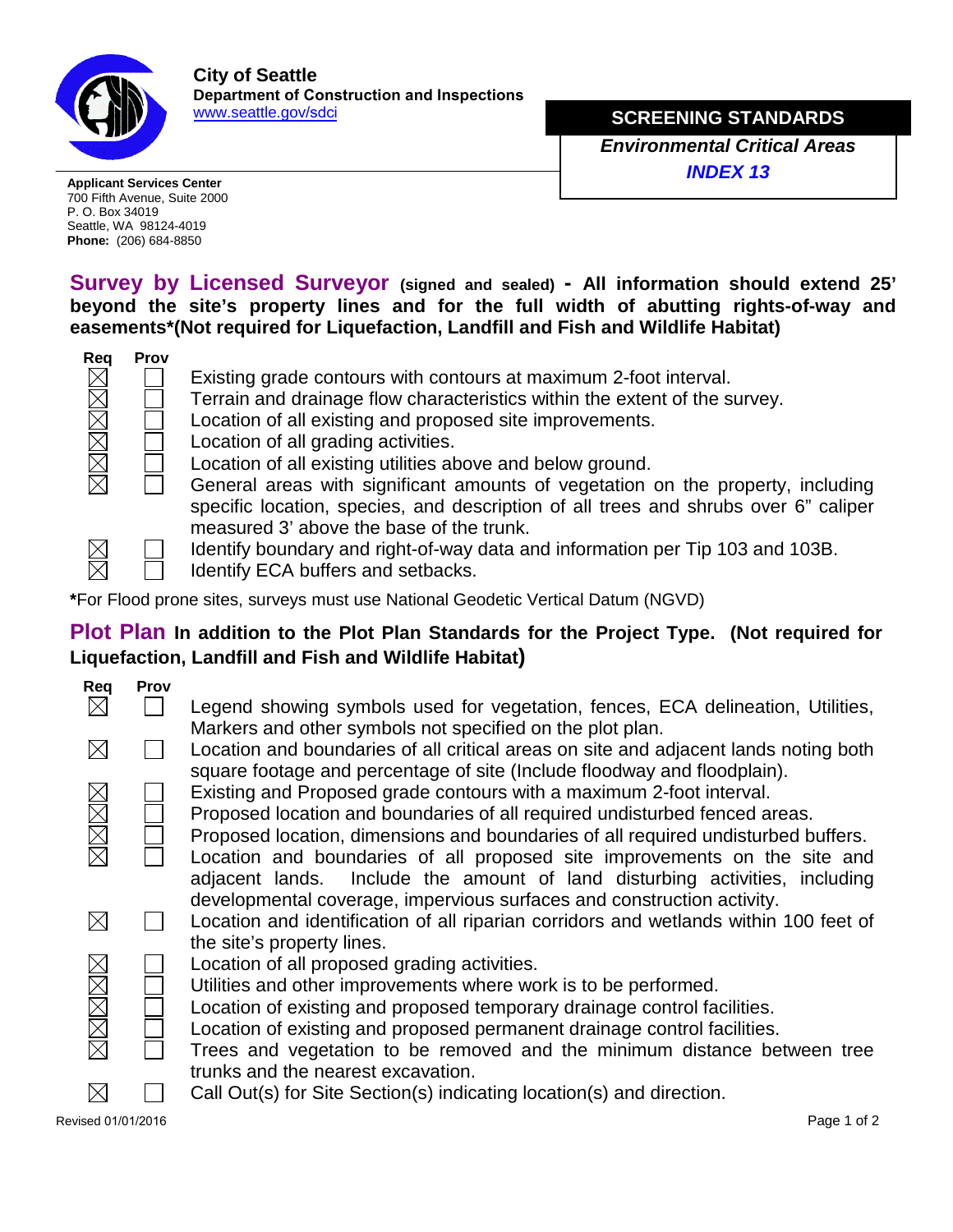

**City of Seattle Department of Construction and Inspections** [www.seattle.gov/](http://www.seattle.gov/dpd)sdci

**MINOR TELECOMM**

700 Fifth Avenue, Suite 2000 P. O. Box 34019 Seattle, WA 98124-4019 **Phone:** (206) 684-8850

**Survey by Licensed Surveyor (signed and sealed) - All information should extend 25' beyond the site's property lines and for the full width of abutting rights-of-way and easements\*(Not required for Liquefaction, Landfill and Fish and Wildlife Habitat)**



Existing grade contours with contours at maximum 2-foot interval.

Terrain and drainage flow characteristics within the extent of the survey.

Location of all existing and proposed site improvements.

Location of all grading activities.

- Location of all existing utilities above and below ground.
	- General areas with significant amounts of vegetation on the property, including specific location, species, and description of all trees and shrubs over 6" caliper measured 3' above the base of the trunk.



Identify boundary and right-of-way data and information per Tip 103 and 103B.

Identify ECA buffers and setbacks.

**\***For Flood prone sites, surveys must use National Geodetic Vertical Datum (NGVD)

## **Plot Plan In addition to the Plot Plan Standards for the Project Type. (Not required for Liquefaction, Landfill and Fish and Wildlife Habitat)**

| Rea                | <b>Prov</b> |                                                                                                                                                                                                                               |
|--------------------|-------------|-------------------------------------------------------------------------------------------------------------------------------------------------------------------------------------------------------------------------------|
| $\times$           |             | Legend showing symbols used for vegetation, fences, ECA delineation, Utilities,                                                                                                                                               |
| $\boxtimes$        |             | Markers and other symbols not specified on the plot plan.<br>Location and boundaries of all critical areas on site and adjacent lands noting both<br>square footage and percentage of site (Include floodway and floodplain). |
|                    |             | Existing and Proposed grade contours with a maximum 2-foot interval.<br>Proposed location and boundaries of all required undisturbed fenced areas.                                                                            |
| MMM                |             | Proposed location, dimensions and boundaries of all required undisturbed buffers.                                                                                                                                             |
|                    |             | Location and boundaries of all proposed site improvements on the site and                                                                                                                                                     |
|                    |             | Include the amount of land disturbing activities, including<br>adjacent lands.<br>developmental coverage, impervious surfaces and construction activity.                                                                      |
| $\boxtimes$        |             | Location and identification of all riparian corridors and wetlands within 100 feet of<br>the site's property lines.                                                                                                           |
|                    |             | Location of all proposed grading activities.                                                                                                                                                                                  |
|                    |             | Utilities and other improvements where work is to be performed.                                                                                                                                                               |
| XRXRX              |             | Location of existing and proposed temporary drainage control facilities.                                                                                                                                                      |
|                    |             | Location of existing and proposed permanent drainage control facilities.                                                                                                                                                      |
|                    |             | Trees and vegetation to be removed and the minimum distance between tree<br>trunks and the nearest excavation.                                                                                                                |
|                    |             | Call Out(s) for Site Section(s) indicating location(s) and direction.                                                                                                                                                         |
| Revised 01/01/2016 |             | Page 1 of 2                                                                                                                                                                                                                   |